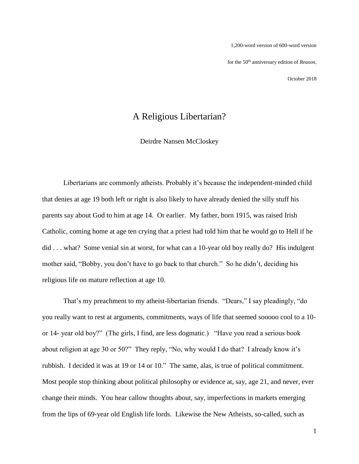1,200-word version of 600-word version for the 50th anniversary edition of *Reason*,

October 2018

## A Religious Libertarian?

Deirdre Nansen McCloskey

Libertarians are commonly atheists. Probably it's because the independent-minded child that denies at age 19 both left or right is also likely to have already denied the silly stuff his parents say about God to him at age 14. Or earlier. My father, born 1915, was raised Irish Catholic, coming home at age ten crying that a priest had told him that he would go to Hell if he did . . . what? Some venial sin at worst, for what can a 10-year old boy really do? His indulgent mother said, "Bobby, you don't have to go back to that church." So he didn't, deciding his religious life on mature reflection at age 10.

That's my preachment to my atheist-libertarian friends. "Dears," I say pleadingly, "do you really want to rest at arguments, commitments, ways of life that seemed sooooo cool to a 10 or 14- year old boy?" (The girls, I find, are less dogmatic.) "Have you read a serious book about religion at age 30 or 50?" They reply, "No, why would I do that? I already know it's rubbish. I decided it was at 19 or 14 or 10." The same, alas, is true of political commitment. Most people stop thinking about political philosophy or evidence at, say, age 21, and never, ever change their minds. You hear callow thoughts about, say, imperfections in markets emerging from the lips of 69-year old English life lords. Likewise the New Atheists, so-called, such as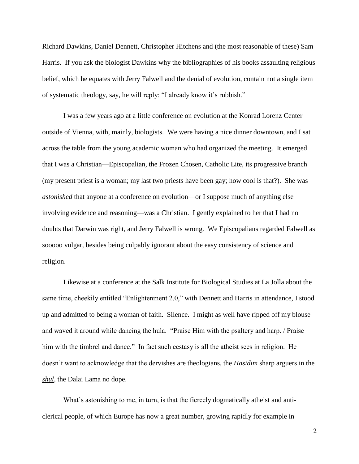Richard Dawkins, Daniel Dennett, Christopher Hitchens and (the most reasonable of these) Sam Harris. If you ask the biologist Dawkins why the bibliographies of his books assaulting religious belief, which he equates with Jerry Falwell and the denial of evolution, contain not a single item of systematic theology, say, he will reply: "I already know it's rubbish."

I was a few years ago at a little conference on evolution at the Konrad Lorenz Center outside of Vienna, with, mainly, biologists. We were having a nice dinner downtown, and I sat across the table from the young academic woman who had organized the meeting. It emerged that I was a Christian—Episcopalian, the Frozen Chosen, Catholic Lite, its progressive branch (my present priest is a woman; my last two priests have been gay; how cool is that?). She was *astonished* that anyone at a conference on evolution—or I suppose much of anything else involving evidence and reasoning—was a Christian. I gently explained to her that I had no doubts that Darwin was right, and Jerry Falwell is wrong. We Episcopalians regarded Falwell as sooooo vulgar, besides being culpably ignorant about the easy consistency of science and religion.

Likewise at a conference at the Salk Institute for Biological Studies at La Jolla about the same time, cheekily entitled "Enlightenment 2.0," with Dennett and Harris in attendance, I stood up and admitted to being a woman of faith. Silence. I might as well have ripped off my blouse and waved it around while dancing the hula. "Praise Him with the psaltery and harp. / Praise him with the timbrel and dance." In fact such ecstasy is all the atheist sees in religion. He doesn't want to acknowledge that the dervishes are theologians, the *Hasidim* sharp arguers in the *shul*, the Dalai Lama no dope.

What's astonishing to me, in turn, is that the fiercely dogmatically atheist and anticlerical people, of which Europe has now a great number, growing rapidly for example in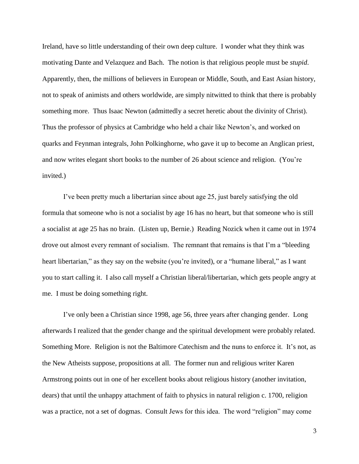Ireland, have so little understanding of their own deep culture. I wonder what they think was motivating Dante and Velazquez and Bach. The notion is that religious people must be *stupid*. Apparently, then, the millions of believers in European or Middle, South, and East Asian history, not to speak of animists and others worldwide, are simply nitwitted to think that there is probably something more. Thus Isaac Newton (admittedly a secret heretic about the divinity of Christ). Thus the professor of physics at Cambridge who held a chair like Newton's, and worked on quarks and Feynman integrals, John Polkinghorne, who gave it up to become an Anglican priest, and now writes elegant short books to the number of 26 about science and religion. (You're invited.)

I've been pretty much a libertarian since about age 25, just barely satisfying the old formula that someone who is not a socialist by age 16 has no heart, but that someone who is still a socialist at age 25 has no brain. (Listen up, Bernie.) Reading Nozick when it came out in 1974 drove out almost every remnant of socialism. The remnant that remains is that I'm a "bleeding heart libertarian," as they say on the website (you're invited), or a "humane liberal," as I want you to start calling it. I also call myself a Christian liberal/libertarian, which gets people angry at me. I must be doing something right.

I've only been a Christian since 1998, age 56, three years after changing gender. Long afterwards I realized that the gender change and the spiritual development were probably related. Something More. Religion is not the Baltimore Catechism and the nuns to enforce it. It's not, as the New Atheists suppose, propositions at all. The former nun and religious writer Karen Armstrong points out in one of her excellent books about religious history (another invitation, dears) that until the unhappy attachment of faith to physics in natural religion c. 1700, religion was a practice, not a set of dogmas. Consult Jews for this idea. The word "religion" may come

3